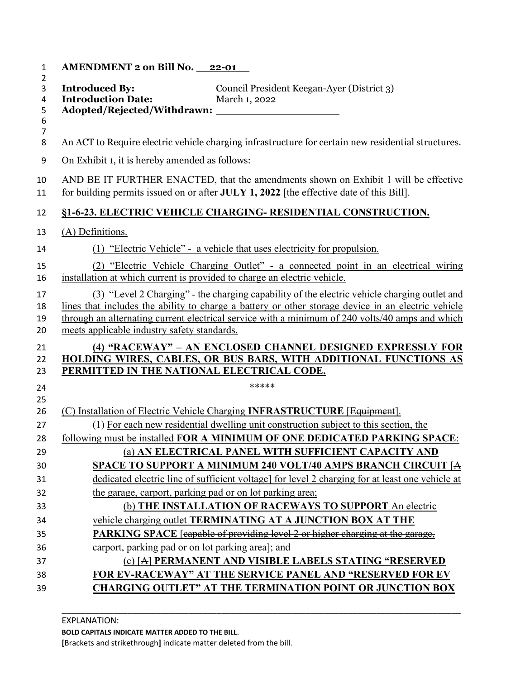| 1                        | AMENDMENT 2 on Bill No. 22-01                                                                                                                                                                                                                                                                                                                        |
|--------------------------|------------------------------------------------------------------------------------------------------------------------------------------------------------------------------------------------------------------------------------------------------------------------------------------------------------------------------------------------------|
| $\overline{2}$<br>3<br>4 | <b>Introduced By:</b><br>Council President Keegan-Ayer (District 3)<br><b>Introduction Date:</b><br>March 1, 2022                                                                                                                                                                                                                                    |
| 5                        |                                                                                                                                                                                                                                                                                                                                                      |
| 6<br>$\overline{7}$      |                                                                                                                                                                                                                                                                                                                                                      |
| 8                        | An ACT to Require electric vehicle charging infrastructure for certain new residential structures.                                                                                                                                                                                                                                                   |
| 9                        | On Exhibit 1, it is hereby amended as follows:                                                                                                                                                                                                                                                                                                       |
| 10<br>11                 | AND BE IT FURTHER ENACTED, that the amendments shown on Exhibit 1 will be effective<br>for building permits issued on or after JULY 1, 2022 [the effective date of this Bill].                                                                                                                                                                       |
| 12                       | §1-6-23. ELECTRIC VEHICLE CHARGING- RESIDENTIAL CONSTRUCTION.                                                                                                                                                                                                                                                                                        |
| 13                       | (A) Definitions.                                                                                                                                                                                                                                                                                                                                     |
| 14                       | (1) "Electric Vehicle" - a vehicle that uses electricity for propulsion.                                                                                                                                                                                                                                                                             |
| 15<br>16                 | (2) "Electric Vehicle Charging Outlet" - a connected point in an electrical wiring<br>installation at which current is provided to charge an electric vehicle.                                                                                                                                                                                       |
| 17<br>18<br>19<br>20     | (3) "Level 2 Charging" - the charging capability of the electric vehicle charging outlet and<br>lines that includes the ability to charge a battery or other storage device in an electric vehicle<br>through an alternating current electrical service with a minimum of 240 volts/40 amps and which<br>meets applicable industry safety standards. |
| 21<br>22                 | (4) "RACEWAY" - AN ENCLOSED CHANNEL DESIGNED EXPRESSLY FOR<br><b>HOLDING WIRES, CABLES, OR BUS BARS, WITH ADDITIONAL FUNCTIONS AS</b>                                                                                                                                                                                                                |
| 23                       | PERMITTED IN THE NATIONAL ELECTRICAL CODE.                                                                                                                                                                                                                                                                                                           |
| 24                       | *****                                                                                                                                                                                                                                                                                                                                                |
| 25<br>26                 | (C) Installation of Electric Vehicle Charging INFRASTRUCTURE [Equipment].                                                                                                                                                                                                                                                                            |
| 27                       | (1) For each new residential dwelling unit construction subject to this section, the                                                                                                                                                                                                                                                                 |
| 28                       | following must be installed FOR A MINIMUM OF ONE DEDICATED PARKING SPACE:                                                                                                                                                                                                                                                                            |
| 29                       | (a) AN ELECTRICAL PANEL WITH SUFFICIENT CAPACITY AND                                                                                                                                                                                                                                                                                                 |
| 30                       | SPACE TO SUPPORT A MINIMUM 240 VOLT/40 AMPS BRANCH CIRCUIT [A                                                                                                                                                                                                                                                                                        |
| 31                       | dedicated electric line of sufficient voltage] for level 2 charging for at least one vehicle at                                                                                                                                                                                                                                                      |
| 32                       | the garage, carport, parking pad or on lot parking area;                                                                                                                                                                                                                                                                                             |
| 33                       | (b) THE INSTALLATION OF RACEWAYS TO SUPPORT An electric                                                                                                                                                                                                                                                                                              |
| 34                       | vehicle charging outlet TERMINATING AT A JUNCTION BOX AT THE                                                                                                                                                                                                                                                                                         |
| 35                       | PARKING SPACE [capable of providing level 2 or higher charging at the garage,                                                                                                                                                                                                                                                                        |
| 36                       | earport, parking pad or on lot parking area]; and                                                                                                                                                                                                                                                                                                    |
| 37                       | (c) [A] PERMANENT AND VISIBLE LABELS STATING "RESERVED                                                                                                                                                                                                                                                                                               |
| 38                       | FOR EV-RACEWAY" AT THE SERVICE PANEL AND "RESERVED FOR EV                                                                                                                                                                                                                                                                                            |
| 39                       | <b>CHARGING OUTLET" AT THE TERMINATION POINT OR JUNCTION BOX</b>                                                                                                                                                                                                                                                                                     |

\_\_\_\_\_\_\_\_\_\_\_\_\_\_\_\_\_\_\_\_\_\_\_\_\_\_\_\_\_\_\_\_\_\_\_\_\_\_\_\_\_\_\_\_\_\_\_\_\_\_\_\_\_\_\_\_\_\_\_\_\_\_\_\_\_\_\_\_\_\_\_\_\_\_\_\_\_\_\_\_\_\_\_\_\_